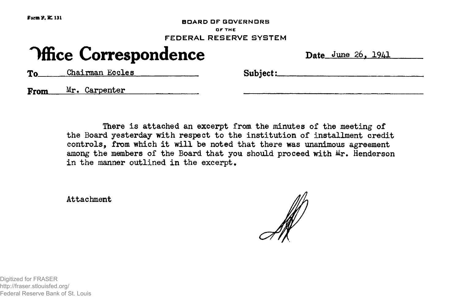**BOARD OF GOVERNORS OF THE FEDERAL RESERVE SYSTEM**

## **Office Correspondence** Date June 26, 1941

To Chairman Eccles Subject:

From Mr. Carpenter

There is attached an excerpt from the minutes of the meeting of the Board yesterday with respect to the institution of installment credit controls, from which it will be noted that there was unanimous agreement among the members of the Board that you should proceed with  $Mr.$  Henderson in the manner outlined in the excerpt.

Attachment

Digitized for FRASER http://fraser.stlouisfed.org/ Federal Reserve Bank of St. Louis